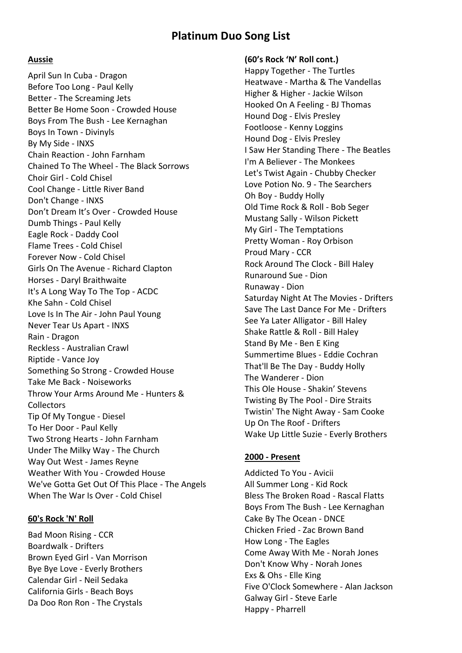# **Platinum Duo Song List**

#### **Aussie**

April Sun In Cuba - Dragon Before Too Long - Paul Kelly Better - The Screaming Jets Better Be Home Soon - Crowded House Boys From The Bush - Lee Kernaghan Boys In Town - Divinyls By My Side - INXS Chain Reaction - John Farnham Chained To The Wheel - The Black Sorrows Choir Girl - Cold Chisel Cool Change - Little River Band Don't Change - INXS Don't Dream It's Over - Crowded House Dumb Things - Paul Kelly Eagle Rock - Daddy Cool Flame Trees - Cold Chisel Forever Now - Cold Chisel Girls On The Avenue - Richard Clapton Horses - Daryl Braithwaite It's A Long Way To The Top - ACDC Khe Sahn - Cold Chisel Love Is In The Air - John Paul Young Never Tear Us Apart - INXS Rain - Dragon Reckless - Australian Crawl Riptide - Vance Joy Something So Strong - Crowded House Take Me Back - Noiseworks Throw Your Arms Around Me - Hunters & **Collectors** Tip Of My Tongue - Diesel To Her Door - Paul Kelly Two Strong Hearts - John Farnham Under The Milky Way - The Church Way Out West - James Reyne Weather With You - Crowded House We've Gotta Get Out Of This Place - The Angels When The War Is Over - Cold Chisel

### **60's Rock 'N' Roll**

Bad Moon Rising - CCR Boardwalk - Drifters Brown Eyed Girl - Van Morrison Bye Bye Love - Everly Brothers Calendar Girl - Neil Sedaka California Girls - Beach Boys Da Doo Ron Ron - The Crystals

## **(60's Rock 'N' Roll cont.)**

Happy Together - The Turtles Heatwave - Martha & The Vandellas Higher & Higher - Jackie Wilson Hooked On A Feeling - BJ Thomas Hound Dog - Elvis Presley Footloose - Kenny Loggins Hound Dog - Elvis Presley I Saw Her Standing There - The Beatles I'm A Believer - The Monkees Let's Twist Again - Chubby Checker Love Potion No. 9 - The Searchers Oh Boy - Buddy Holly Old Time Rock & Roll - Bob Seger Mustang Sally - Wilson Pickett My Girl - The Temptations Pretty Woman - Roy Orbison Proud Mary - CCR Rock Around The Clock - Bill Haley Runaround Sue - Dion Runaway - Dion Saturday Night At The Movies - Drifters Save The Last Dance For Me - Drifters See Ya Later Alligator - Bill Haley Shake Rattle & Roll - Bill Haley Stand By Me - Ben E King Summertime Blues - Eddie Cochran That'll Be The Day - Buddy Holly The Wanderer - Dion This Ole House - Shakin' Stevens Twisting By The Pool - Dire Straits Twistin' The Night Away - Sam Cooke Up On The Roof - Drifters Wake Up Little Suzie - Everly Brothers

#### **2000 - Present**

Addicted To You - Avicii All Summer Long - Kid Rock Bless The Broken Road - Rascal Flatts Boys From The Bush - Lee Kernaghan Cake By The Ocean - DNCE Chicken Fried - Zac Brown Band How Long - The Eagles Come Away With Me - Norah Jones Don't Know Why - Norah Jones Exs & Ohs - Elle King Five O'Clock Somewhere - Alan Jackson Galway Girl - Steve Earle Happy - Pharrell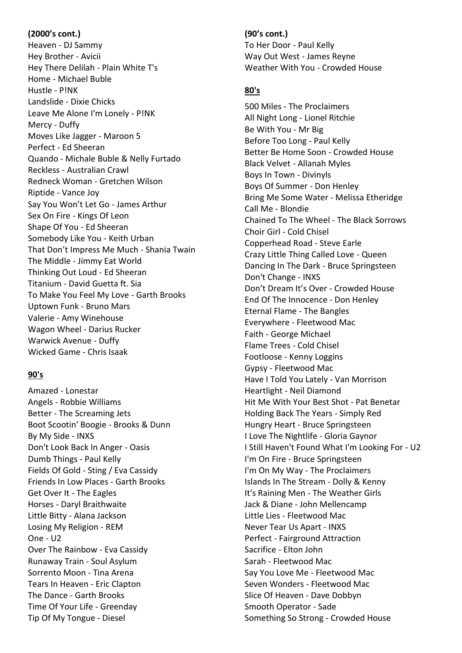### **(2000's cont.)**

Heaven - DJ Sammy Hey Brother - Avicii Hey There Delilah - Plain White T's Home - Michael Buble Hustle - P!NK Landslide - Dixie Chicks Leave Me Alone I'm Lonely - P!NK Mercy - Duffy Moves Like Jagger - Maroon 5 Perfect - Ed Sheeran Quando - Michale Buble & Nelly Furtado Reckless - Australian Crawl Redneck Woman - Gretchen Wilson Riptide - Vance Joy Say You Won't Let Go - James Arthur Sex On Fire - Kings Of Leon Shape Of You - Ed Sheeran Somebody Like You - Keith Urban That Don't Impress Me Much - Shania Twain The Middle - Jimmy Eat World Thinking Out Loud - Ed Sheeran Titanium - David Guetta ft. Sia To Make You Feel My Love - Garth Brooks Uptown Funk - Bruno Mars Valerie - Amy Winehouse Wagon Wheel - Darius Rucker Warwick Avenue - Duffy Wicked Game - Chris Isaak

## **90's**

Amazed - Lonestar Angels - Robbie Williams Better - The Screaming Jets Boot Scootin' Boogie - Brooks & Dunn By My Side - INXS Don't Look Back In Anger - Oasis Dumb Things - Paul Kelly Fields Of Gold - Sting / Eva Cassidy Friends In Low Places - Garth Brooks Get Over It - The Eagles Horses - Daryl Braithwaite Little Bitty - Alana Jackson Losing My Religion - REM One - U2 Over The Rainbow - Eva Cassidy Runaway Train - Soul Asylum Sorrento Moon - Tina Arena Tears In Heaven - Eric Clapton The Dance - Garth Brooks Time Of Your Life - Greenday Tip Of My Tongue - Diesel

### **(90's cont.)**

To Her Door - Paul Kelly Way Out West - James Reyne Weather With You - Crowded House

## **80's**

500 Miles - The Proclaimers All Night Long - Lionel Ritchie Be With You - Mr Big Before Too Long - Paul Kelly Better Be Home Soon - Crowded House Black Velvet - Allanah Myles Boys In Town - Divinyls Boys Of Summer - Don Henley Bring Me Some Water - Melissa Etheridge Call Me - Blondie Chained To The Wheel - The Black Sorrows Choir Girl - Cold Chisel Copperhead Road - Steve Earle Crazy Little Thing Called Love - Queen Dancing In The Dark - Bruce Springsteen Don't Change - INXS Don't Dream It's Over - Crowded House End Of The Innocence - Don Henley Eternal Flame - The Bangles Everywhere - Fleetwood Mac Faith - George Michael Flame Trees - Cold Chisel Footloose - Kenny Loggins Gypsy - Fleetwood Mac Have I Told You Lately - Van Morrison Heartlight - Neil Diamond Hit Me With Your Best Shot - Pat Benetar Holding Back The Years - Simply Red Hungry Heart - Bruce Springsteen I Love The Nightlife - Gloria Gaynor I Still Haven't Found What I'm Looking For - U2 I'm On Fire - Bruce Springsteen I'm On My Way - The Proclaimers Islands In The Stream - Dolly & Kenny It's Raining Men - The Weather Girls Jack & Diane - John Mellencamp Little Lies - Fleetwood Mac Never Tear Us Apart - INXS Perfect - Fairground Attraction Sacrifice - Elton John Sarah - Fleetwood Mac Say You Love Me - Fleetwood Mac Seven Wonders - Fleetwood Mac Slice Of Heaven - Dave Dobbyn Smooth Operator - Sade Something So Strong - Crowded House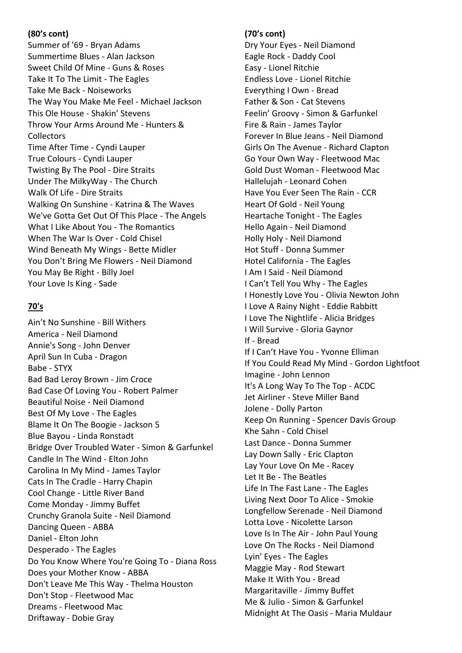### **(80's cont)**

Summer of '69 - Bryan Adams Summertime Blues - Alan Jackson Sweet Child Of Mine - Guns & Roses Take It To The Limit - The Eagles Take Me Back - Noiseworks The Way You Make Me Feel - Michael Jackson This Ole House - Shakin' Stevens Throw Your Arms Around Me - Hunters & **Collectors** Time After Time - Cyndi Lauper True Colours - Cyndi Lauper Twisting By The Pool - Dire Straits Under The MilkyWay - The Church Walk Of Life - Dire Straits Walking On Sunshine - Katrina & The Waves We've Gotta Get Out Of This Place - The Angels What I Like About You - The Romantics When The War Is Over - Cold Chisel Wind Beneath My Wings - Bette Midler You Don't Bring Me Flowers - Neil Diamond You May Be Right - Billy Joel Your Love Is King - Sade

### **70's**

Ain't No Sunshine - Bill Withers America - Neil Diamond Annie's Song - John Denver April Sun In Cuba - Dragon Babe - STYX Bad Bad Leroy Brown - Jim Croce Bad Case Of Loving You - Robert Palmer Beautiful Noise - Neil Diamond Best Of My Love - The Eagles Blame It On The Boogie - Jackson 5 Blue Bayou - Linda Ronstadt Bridge Over Troubled Water - Simon & Garfunkel Candle In The Wind - Elton John Carolina In My Mind - James Taylor Cats In The Cradle - Harry Chapin Cool Change - Little River Band Come Monday - Jimmy Buffet Crunchy Granola Suite - Neil Diamond Dancing Queen - ABBA Daniel - Elton John Desperado - The Eagles Do You Know Where You're Going To - Diana Ross Does your Mother Know - ABBA Don't Leave Me This Way - Thelma Houston Don't Stop - Fleetwood Mac Dreams - Fleetwood Mac Driftaway - Dobie Gray

### **(70's cont)**

Dry Your Eyes - Neil Diamond Eagle Rock - Daddy Cool Easy - Lionel Ritchie Endless Love - Lionel Ritchie Everything I Own - Bread Father & Son - Cat Stevens Feelin' Groovy - Simon & Garfunkel Fire & Rain - James Taylor Forever In Blue Jeans - Neil Diamond Girls On The Avenue - Richard Clapton Go Your Own Way - Fleetwood Mac Gold Dust Woman - Fleetwood Mac Hallelujah - Leonard Cohen Have You Ever Seen The Rain - CCR Heart Of Gold - Neil Young Heartache Tonight - The Eagles Hello Again - Neil Diamond Holly Holy - Neil Diamond Hot Stuff - Donna Summer Hotel California - The Eagles I Am I Said - Neil Diamond I Can't Tell You Why - The Eagles I Honestly Love You - Olivia Newton John I Love A Rainy Night - Eddie Rabbitt I Love The Nightlife - Alicia Bridges I Will Survive - Gloria Gaynor If - Bread If I Can't Have You - Yvonne Elliman If You Could Read My Mind - Gordon Lightfoot Imagine - John Lennon It's A Long Way To The Top - ACDC Jet Airliner - Steve Miller Band Jolene - Dolly Parton Keep On Running - Spencer Davis Group Khe Sahn - Cold Chisel Last Dance - Donna Summer Lay Down Sally - Eric Clapton Lay Your Love On Me - Racey Let It Be - The Beatles Life In The Fast Lane - The Eagles Living Next Door To Alice - Smokie Longfellow Serenade - Neil Diamond Lotta Love - Nicolette Larson Love Is In The Air - John Paul Young Love On The Rocks - Neil Diamond Lyin' Eyes - The Eagles Maggie May - Rod Stewart Make It With You - Bread Margaritaville - Jimmy Buffet Me & Julio - Simon & Garfunkel Midnight At The Oasis - Maria Muldaur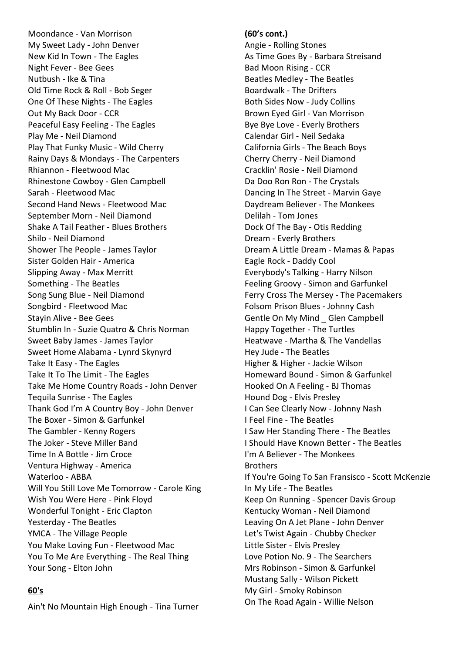Moondance - Van Morrison My Sweet Lady - John Denver New Kid In Town - The Eagles Night Fever - Bee Gees Nutbush - Ike & Tina Old Time Rock & Roll - Bob Seger One Of These Nights - The Eagles Out My Back Door - CCR Peaceful Easy Feeling - The Eagles Play Me - Neil Diamond Play That Funky Music - Wild Cherry Rainy Days & Mondays - The Carpenters Rhiannon - Fleetwood Mac Rhinestone Cowboy - Glen Campbell Sarah - Fleetwood Mac Second Hand News - Fleetwood Mac September Morn - Neil Diamond Shake A Tail Feather - Blues Brothers Shilo - Neil Diamond Shower The People - James Taylor Sister Golden Hair - America Slipping Away - Max Merritt Something - The Beatles Song Sung Blue - Neil Diamond Songbird - Fleetwood Mac Stayin Alive - Bee Gees Stumblin In - Suzie Quatro & Chris Norman Sweet Baby James - James Taylor Sweet Home Alabama - Lynrd Skynyrd Take It Easy - The Eagles Take It To The Limit - The Eagles Take Me Home Country Roads - John Denver Tequila Sunrise - The Eagles Thank God I'm A Country Boy - John Denver The Boxer - Simon & Garfunkel The Gambler - Kenny Rogers The Joker - Steve Miller Band Time In A Bottle - Jim Croce Ventura Highway - America Waterloo - ABBA Will You Still Love Me Tomorrow - Carole King Wish You Were Here - Pink Floyd Wonderful Tonight - Eric Clapton Yesterday - The Beatles YMCA - The Village People You Make Loving Fun - Fleetwood Mac You To Me Are Everything - The Real Thing Your Song - Elton John

### **60's**

Ain't No Mountain High Enough - Tina Turner

#### **(60's cont.)**

Angie - Rolling Stones As Time Goes By - Barbara Streisand Bad Moon Rising - CCR Beatles Medley - The Beatles Boardwalk - The Drifters Both Sides Now - Judy Collins Brown Eyed Girl - Van Morrison Bye Bye Love - Everly Brothers Calendar Girl - Neil Sedaka California Girls - The Beach Boys Cherry Cherry - Neil Diamond Cracklin' Rosie - Neil Diamond Da Doo Ron Ron - The Crystals Dancing In The Street - Marvin Gaye Daydream Believer - The Monkees Delilah - Tom Jones Dock Of The Bay - Otis Redding Dream - Everly Brothers Dream A Little Dream - Mamas & Papas Eagle Rock - Daddy Cool Everybody's Talking - Harry Nilson Feeling Groovy - Simon and Garfunkel Ferry Cross The Mersey - The Pacemakers Folsom Prison Blues - Johnny Cash Gentle On My Mind \_ Glen Campbell Happy Together - The Turtles Heatwave - Martha & The Vandellas Hey Jude - The Beatles Higher & Higher - Jackie Wilson Homeward Bound - Simon & Garfunkel Hooked On A Feeling - BJ Thomas Hound Dog - Elvis Presley I Can See Clearly Now - Johnny Nash I Feel Fine - The Beatles I Saw Her Standing There - The Beatles I Should Have Known Better - The Beatles I'm A Believer - The Monkees **Brothers** If You're Going To San Fransisco - Scott McKenzie In My Life - The Beatles Keep On Running - Spencer Davis Group Kentucky Woman - Neil Diamond Leaving On A Jet Plane - John Denver Let's Twist Again - Chubby Checker Little Sister - Elvis Presley Love Potion No. 9 - The Searchers Mrs Robinson - Simon & Garfunkel Mustang Sally - Wilson Pickett My Girl - Smoky Robinson On The Road Again - Willie Nelson